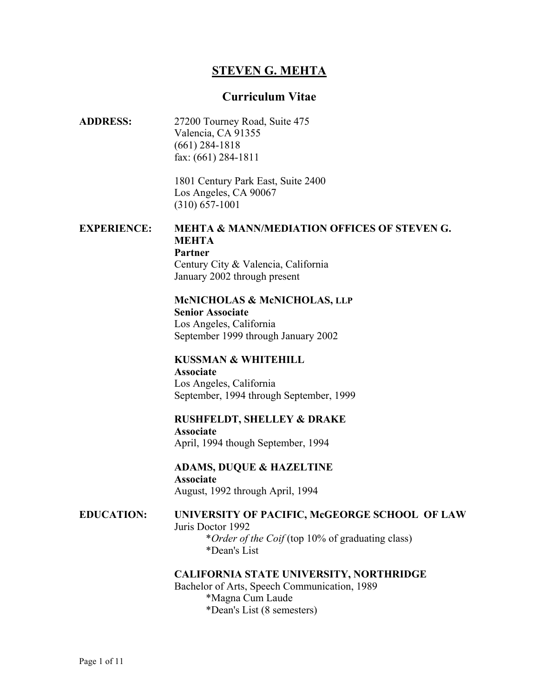# **STEVEN G. MEHTA**

### **Curriculum Vitae**

**ADDRESS:** 27200 Tourney Road, Suite 475 Valencia, CA 91355 (661) 284-1818 fax: (661) 284-1811

> 1801 Century Park East, Suite 2400 Los Angeles, CA 90067 (310) 657-1001

#### **EXPERIENCE: MEHTA & MANN/MEDIATION OFFICES OF STEVEN G. MEHTA Partner** Century City & Valencia, California

January 2002 through present

#### **McNICHOLAS & McNICHOLAS, LLP**

 **Senior Associate** Los Angeles, California September 1999 through January 2002

## **KUSSMAN & WHITEHILL**

 **Associate** Los Angeles, California September, 1994 through September, 1999

**RUSHFELDT, SHELLEY & DRAKE Associate**  April, 1994 though September, 1994

## **ADAMS, DUQUE & HAZELTINE**

**Associate**  August, 1992 through April, 1994

#### **EDUCATION: UNIVERSITY OF PACIFIC, McGEORGE SCHOOL OF LAW** Juris Doctor 1992

 \**Order of the Coif* (top 10% of graduating class) \*Dean's List

#### **CALIFORNIA STATE UNIVERSITY, NORTHRIDGE**

Bachelor of Arts, Speech Communication, 1989 \*Magna Cum Laude \*Dean's List (8 semesters)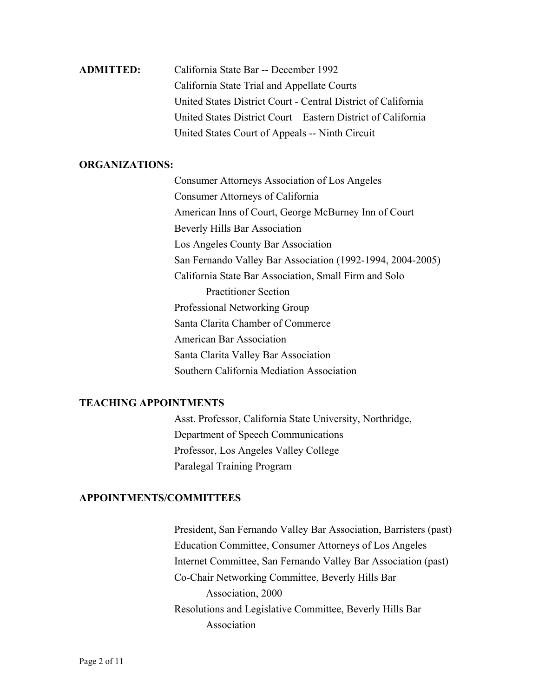# **ADMITTED:** California State Bar -- December 1992 California State Trial and Appellate Courts United States District Court - Central District of California United States District Court – Eastern District of California United States Court of Appeals -- Ninth Circuit

## **ORGANIZATIONS:**

Consumer Attorneys Association of Los Angeles Consumer Attorneys of California American Inns of Court, George McBurney Inn of Court Beverly Hills Bar Association Los Angeles County Bar Association San Fernando Valley Bar Association (1992-1994, 2004-2005) California State Bar Association, Small Firm and Solo Practitioner Section Professional Networking Group Santa Clarita Chamber of Commerce American Bar Association Santa Clarita Valley Bar Association Southern California Mediation Association

#### **TEACHING APPOINTMENTS**

Asst. Professor, California State University, Northridge, Department of Speech Communications Professor, Los Angeles Valley College Paralegal Training Program

## **APPOINTMENTS/COMMITTEES**

President, San Fernando Valley Bar Association, Barristers (past) Education Committee, Consumer Attorneys of Los Angeles Internet Committee, San Fernando Valley Bar Association (past) Co-Chair Networking Committee, Beverly Hills Bar Association, 2000 Resolutions and Legislative Committee, Beverly Hills Bar Association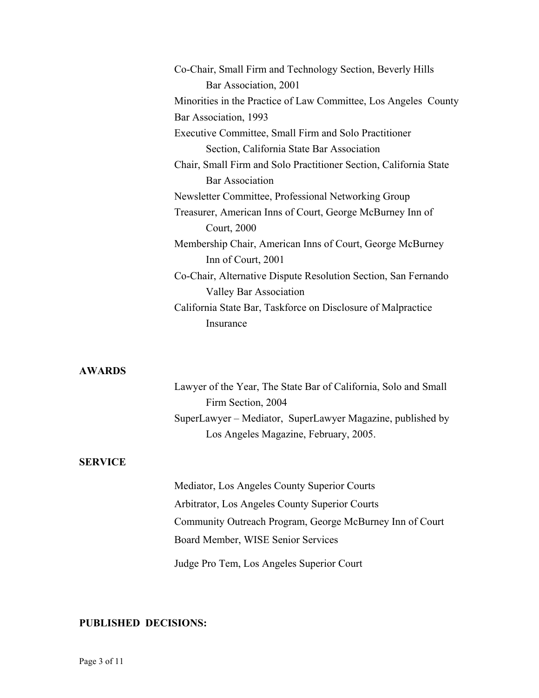| Co-Chair, Small Firm and Technology Section, Beverly Hills        |
|-------------------------------------------------------------------|
| Bar Association, 2001                                             |
| Minorities in the Practice of Law Committee, Los Angeles County   |
| Bar Association, 1993                                             |
| Executive Committee, Small Firm and Solo Practitioner             |
| Section, California State Bar Association                         |
| Chair, Small Firm and Solo Practitioner Section, California State |
| <b>Bar Association</b>                                            |
| Newsletter Committee, Professional Networking Group               |
| Treasurer, American Inns of Court, George McBurney Inn of         |
| Court, 2000                                                       |
| Membership Chair, American Inns of Court, George McBurney         |
| Inn of Court, 2001                                                |
| Co-Chair, Alternative Dispute Resolution Section, San Fernando    |
| Valley Bar Association                                            |
| California State Bar, Taskforce on Disclosure of Malpractice      |
| Insurance                                                         |
|                                                                   |

#### **AWARDS**

| Lawyer of the Year, The State Bar of California, Solo and Small |
|-----------------------------------------------------------------|
| Firm Section, 2004                                              |
| SuperLawyer – Mediator, SuperLawyer Magazine, published by      |
| Los Angeles Magazine, February, 2005.                           |

## **SERVICE**

Mediator, Los Angeles County Superior Courts Arbitrator, Los Angeles County Superior Courts Community Outreach Program, George McBurney Inn of Court Board Member, WISE Senior Services Judge Pro Tem, Los Angeles Superior Court

## **PUBLISHED DECISIONS:**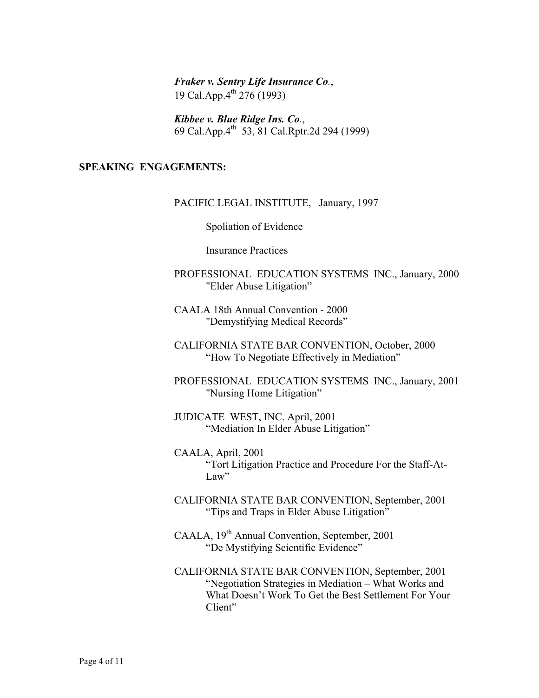*Fraker v. Sentry Life Insurance Co.*, 19 Cal.App.4<sup>th</sup> 276 (1993)

*Kibbee v. Blue Ridge Ins. Co.*, 69 Cal.App.4th 53, 81 Cal.Rptr.2d 294 (1999)

## **SPEAKING ENGAGEMENTS:**

#### PACIFIC LEGAL INSTITUTE, January, 1997

Spoliation of Evidence

Insurance Practices

- PROFESSIONAL EDUCATION SYSTEMS INC., January, 2000 "Elder Abuse Litigation"
- CAALA 18th Annual Convention 2000 "Demystifying Medical Records"
- CALIFORNIA STATE BAR CONVENTION, October, 2000 "How To Negotiate Effectively in Mediation"
- PROFESSIONAL EDUCATION SYSTEMS INC., January, 2001 "Nursing Home Litigation"
- JUDICATE WEST, INC. April, 2001 "Mediation In Elder Abuse Litigation"
- CAALA, April, 2001 "Tort Litigation Practice and Procedure For the Staff-At-Law"
- CALIFORNIA STATE BAR CONVENTION, September, 2001 "Tips and Traps in Elder Abuse Litigation"
- CAALA, 19<sup>th</sup> Annual Convention, September, 2001 "De Mystifying Scientific Evidence"
- CALIFORNIA STATE BAR CONVENTION, September, 2001 "Negotiation Strategies in Mediation – What Works and What Doesn't Work To Get the Best Settlement For Your Client"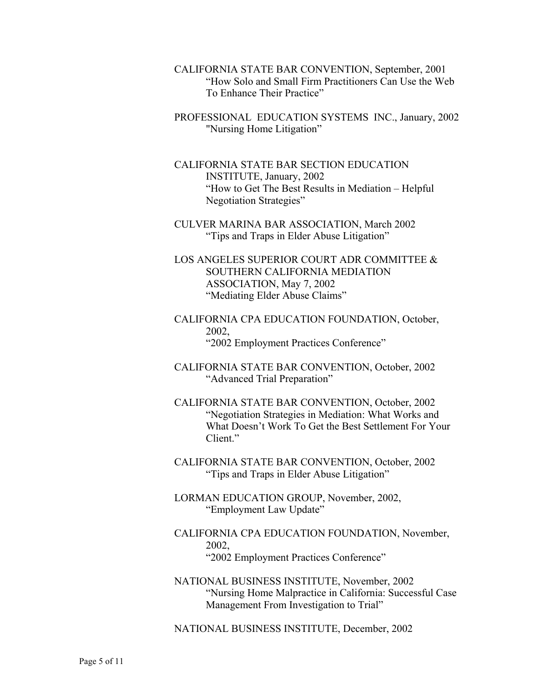- CALIFORNIA STATE BAR CONVENTION, September, 2001 "How Solo and Small Firm Practitioners Can Use the Web To Enhance Their Practice"
- PROFESSIONAL EDUCATION SYSTEMS INC., January, 2002 "Nursing Home Litigation"
- CALIFORNIA STATE BAR SECTION EDUCATION INSTITUTE, January, 2002 "How to Get The Best Results in Mediation – Helpful Negotiation Strategies"
- CULVER MARINA BAR ASSOCIATION, March 2002 "Tips and Traps in Elder Abuse Litigation"
- LOS ANGELES SUPERIOR COURT ADR COMMITTEE & SOUTHERN CALIFORNIA MEDIATION ASSOCIATION, May 7, 2002 "Mediating Elder Abuse Claims"
- CALIFORNIA CPA EDUCATION FOUNDATION, October, 2002, "2002 Employment Practices Conference"
- CALIFORNIA STATE BAR CONVENTION, October, 2002 "Advanced Trial Preparation"
- CALIFORNIA STATE BAR CONVENTION, October, 2002 "Negotiation Strategies in Mediation: What Works and What Doesn't Work To Get the Best Settlement For Your Client."
- CALIFORNIA STATE BAR CONVENTION, October, 2002 "Tips and Traps in Elder Abuse Litigation"
- LORMAN EDUCATION GROUP, November, 2002, "Employment Law Update"
- CALIFORNIA CPA EDUCATION FOUNDATION, November, 2002, "2002 Employment Practices Conference"
- NATIONAL BUSINESS INSTITUTE, November, 2002 "Nursing Home Malpractice in California: Successful Case Management From Investigation to Trial"

NATIONAL BUSINESS INSTITUTE, December, 2002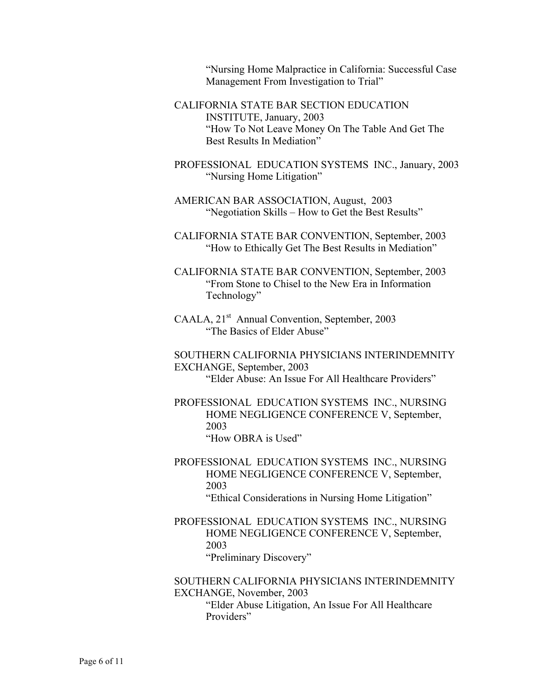"Nursing Home Malpractice in California: Successful Case Management From Investigation to Trial"

- CALIFORNIA STATE BAR SECTION EDUCATION INSTITUTE, January, 2003 "How To Not Leave Money On The Table And Get The Best Results In Mediation"
- PROFESSIONAL EDUCATION SYSTEMS INC., January, 2003 "Nursing Home Litigation"
- AMERICAN BAR ASSOCIATION, August, 2003 "Negotiation Skills – How to Get the Best Results"
- CALIFORNIA STATE BAR CONVENTION, September, 2003 "How to Ethically Get The Best Results in Mediation"
- CALIFORNIA STATE BAR CONVENTION, September, 2003 "From Stone to Chisel to the New Era in Information Technology"
- CAALA, 21<sup>st</sup> Annual Convention, September, 2003 "The Basics of Elder Abuse"

SOUTHERN CALIFORNIA PHYSICIANS INTERINDEMNITY EXCHANGE, September, 2003 "Elder Abuse: An Issue For All Healthcare Providers"

PROFESSIONAL EDUCATION SYSTEMS INC., NURSING HOME NEGLIGENCE CONFERENCE V, September, 2003 "How OBRA is Used"

PROFESSIONAL EDUCATION SYSTEMS INC., NURSING HOME NEGLIGENCE CONFERENCE V, September, 2003 "Ethical Considerations in Nursing Home Litigation"

PROFESSIONAL EDUCATION SYSTEMS INC., NURSING HOME NEGLIGENCE CONFERENCE V, September, 2003 "Preliminary Discovery"

SOUTHERN CALIFORNIA PHYSICIANS INTERINDEMNITY EXCHANGE, November, 2003 "Elder Abuse Litigation, An Issue For All Healthcare Providers"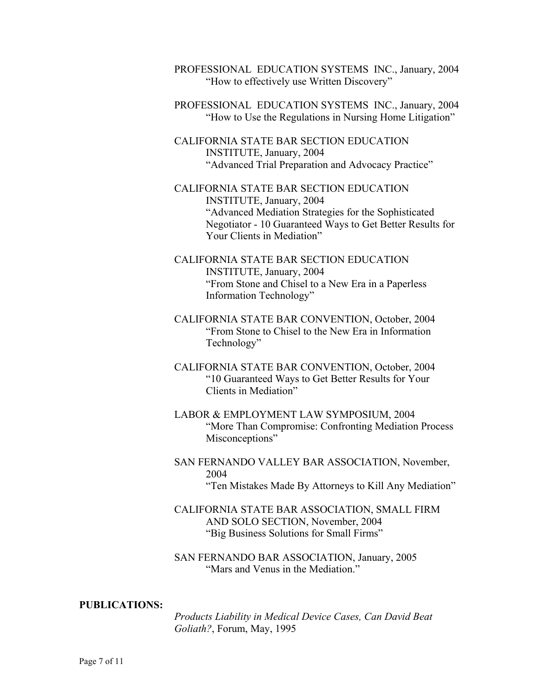PROFESSIONAL EDUCATION SYSTEMS INC., January, 2004 "How to effectively use Written Discovery"

PROFESSIONAL EDUCATION SYSTEMS INC., January, 2004 "How to Use the Regulations in Nursing Home Litigation"

CALIFORNIA STATE BAR SECTION EDUCATION INSTITUTE, January, 2004 "Advanced Trial Preparation and Advocacy Practice"

CALIFORNIA STATE BAR SECTION EDUCATION INSTITUTE, January, 2004 "Advanced Mediation Strategies for the Sophisticated Negotiator - 10 Guaranteed Ways to Get Better Results for Your Clients in Mediation"

- CALIFORNIA STATE BAR SECTION EDUCATION INSTITUTE, January, 2004 "From Stone and Chisel to a New Era in a Paperless Information Technology"
- CALIFORNIA STATE BAR CONVENTION, October, 2004 "From Stone to Chisel to the New Era in Information Technology"
- CALIFORNIA STATE BAR CONVENTION, October, 2004 "10 Guaranteed Ways to Get Better Results for Your Clients in Mediation"
- LABOR & EMPLOYMENT LAW SYMPOSIUM, 2004 "More Than Compromise: Confronting Mediation Process Misconceptions"
- SAN FERNANDO VALLEY BAR ASSOCIATION, November, 2004 "Ten Mistakes Made By Attorneys to Kill Any Mediation"
- CALIFORNIA STATE BAR ASSOCIATION, SMALL FIRM AND SOLO SECTION, November, 2004 "Big Business Solutions for Small Firms"

SAN FERNANDO BAR ASSOCIATION, January, 2005 "Mars and Venus in the Mediation"

#### **PUBLICATIONS:**

*Products Liability in Medical Device Cases, Can David Beat Goliath?*, Forum, May, 1995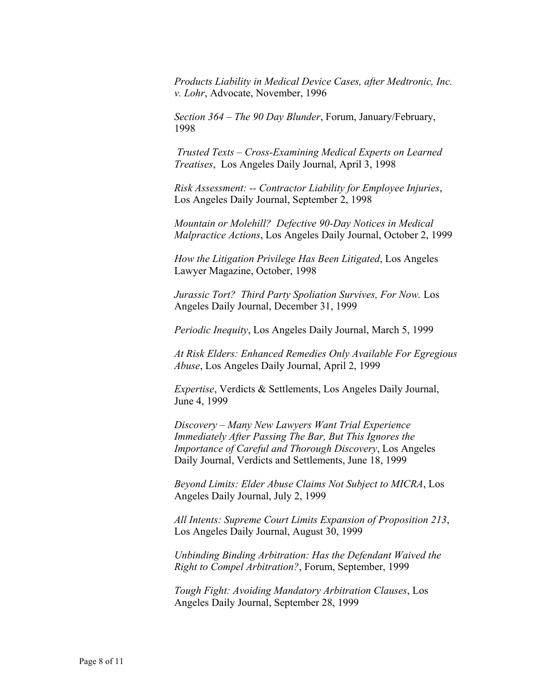*Products Liability in Medical Device Cases, after Medtronic, Inc. v. Lohr*, Advocate, November, 1996

*Section 364 – The 90 Day Blunder*, Forum, January/February, 1998

*Trusted Texts – Cross-Examining Medical Experts on Learned Treatises*, Los Angeles Daily Journal, April 3, 1998

*Risk Assessment: -- Contractor Liability for Employee Injuries*, Los Angeles Daily Journal, September 2, 1998

*Mountain or Molehill? Defective 90-Day Notices in Medical Malpractice Actions*, Los Angeles Daily Journal, October 2, 1999

*How the Litigation Privilege Has Been Litigated*, Los Angeles Lawyer Magazine, October, 1998

*Jurassic Tort? Third Party Spoliation Survives, For Now.* Los Angeles Daily Journal, December 31, 1999

*Periodic Inequity*, Los Angeles Daily Journal, March 5, 1999

*At Risk Elders: Enhanced Remedies Only Available For Egregious Abuse*, Los Angeles Daily Journal, April 2, 1999

*Expertise*, Verdicts & Settlements, Los Angeles Daily Journal, June 4, 1999

*Discovery – Many New Lawyers Want Trial Experience Immediately After Passing The Bar, But This Ignores the Importance of Careful and Thorough Discovery*, Los Angeles Daily Journal, Verdicts and Settlements, June 18, 1999

*Beyond Limits: Elder Abuse Claims Not Subject to MICRA*, Los Angeles Daily Journal, July 2, 1999

*All Intents: Supreme Court Limits Expansion of Proposition 213*, Los Angeles Daily Journal, August 30, 1999

*Unbinding Binding Arbitration: Has the Defendant Waived the Right to Compel Arbitration?*, Forum, September, 1999

*Tough Fight: Avoiding Mandatory Arbitration Clauses*, Los Angeles Daily Journal, September 28, 1999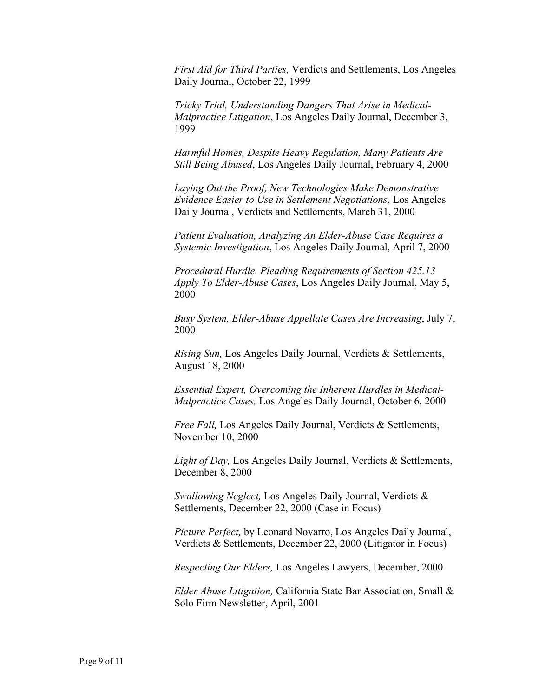*First Aid for Third Parties,* Verdicts and Settlements, Los Angeles Daily Journal, October 22, 1999

*Tricky Trial, Understanding Dangers That Arise in Medical-Malpractice Litigation*, Los Angeles Daily Journal, December 3, 1999

*Harmful Homes, Despite Heavy Regulation, Many Patients Are Still Being Abused*, Los Angeles Daily Journal, February 4, 2000

*Laying Out the Proof, New Technologies Make Demonstrative Evidence Easier to Use in Settlement Negotiations*, Los Angeles Daily Journal, Verdicts and Settlements, March 31, 2000

*Patient Evaluation, Analyzing An Elder-Abuse Case Requires a Systemic Investigation*, Los Angeles Daily Journal, April 7, 2000

*Procedural Hurdle, Pleading Requirements of Section 425.13 Apply To Elder-Abuse Cases*, Los Angeles Daily Journal, May 5, 2000

*Busy System, Elder-Abuse Appellate Cases Are Increasing*, July 7, 2000

*Rising Sun,* Los Angeles Daily Journal, Verdicts & Settlements, August 18, 2000

*Essential Expert, Overcoming the Inherent Hurdles in Medical-Malpractice Cases,* Los Angeles Daily Journal, October 6, 2000

*Free Fall,* Los Angeles Daily Journal, Verdicts & Settlements, November 10, 2000

*Light of Day,* Los Angeles Daily Journal, Verdicts & Settlements, December 8, 2000

*Swallowing Neglect,* Los Angeles Daily Journal, Verdicts & Settlements, December 22, 2000 (Case in Focus)

*Picture Perfect,* by Leonard Novarro, Los Angeles Daily Journal, Verdicts & Settlements, December 22, 2000 (Litigator in Focus)

*Respecting Our Elders,* Los Angeles Lawyers, December, 2000

*Elder Abuse Litigation,* California State Bar Association, Small & Solo Firm Newsletter, April, 2001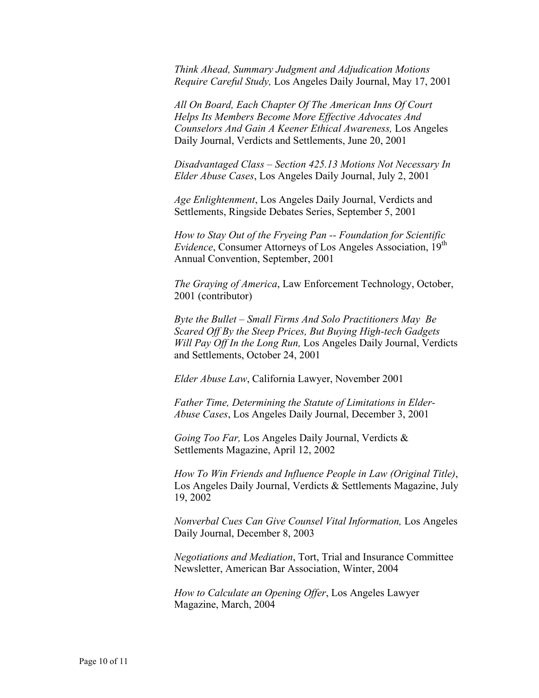*Think Ahead, Summary Judgment and Adjudication Motions Require Careful Study,* Los Angeles Daily Journal, May 17, 2001

*All On Board, Each Chapter Of The American Inns Of Court Helps Its Members Become More Effective Advocates And Counselors And Gain A Keener Ethical Awareness,* Los Angeles Daily Journal, Verdicts and Settlements, June 20, 2001

*Disadvantaged Class – Section 425.13 Motions Not Necessary In Elder Abuse Cases*, Los Angeles Daily Journal, July 2, 2001

*Age Enlightenment*, Los Angeles Daily Journal, Verdicts and Settlements, Ringside Debates Series, September 5, 2001

*How to Stay Out of the Fryeing Pan -- Foundation for Scientific Evidence*, Consumer Attorneys of Los Angeles Association, 19<sup>th</sup> Annual Convention, September, 2001

*The Graying of America*, Law Enforcement Technology, October, 2001 (contributor)

*Byte the Bullet – Small Firms And Solo Practitioners May Be Scared Off By the Steep Prices, But Buying High-tech Gadgets Will Pay Off In the Long Run,* Los Angeles Daily Journal, Verdicts and Settlements, October 24, 2001

*Elder Abuse Law*, California Lawyer, November 2001

*Father Time, Determining the Statute of Limitations in Elder-Abuse Cases*, Los Angeles Daily Journal, December 3, 2001

*Going Too Far,* Los Angeles Daily Journal, Verdicts & Settlements Magazine, April 12, 2002

*How To Win Friends and Influence People in Law (Original Title)*, Los Angeles Daily Journal, Verdicts & Settlements Magazine, July 19, 2002

*Nonverbal Cues Can Give Counsel Vital Information,* Los Angeles Daily Journal, December 8, 2003

*Negotiations and Mediation*, Tort, Trial and Insurance Committee Newsletter, American Bar Association, Winter, 2004

*How to Calculate an Opening Offer*, Los Angeles Lawyer Magazine, March, 2004